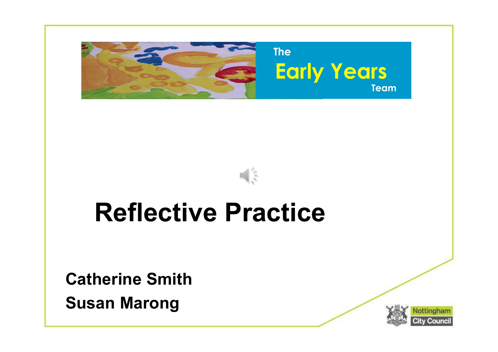



#### Reflective Practice

Catherine Smith Susan Marong

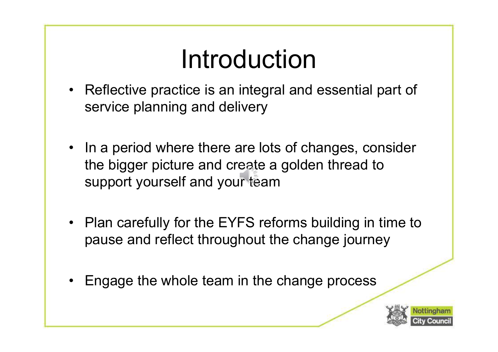## Introduction

- Introduction<br>• Reflective practice is an integral and essential part of<br>service planning and delivery service planning and delivery
- Introduction<br>• Reflective practice is an integral and essential part of<br>• In a period where there are lots of changes, consider<br>• In a period where there are lots of changes, consider<br>• the bigger picture and create a gold the bigger picture and create a golden thread to support yourself and your team • Reflective practice is an integral and essential part of<br>service planning and delivery<br>
• In a period where there are lots of changes, consider<br>
the bigger picture and create a golden thread to<br>
support yourself and your • In a period where there are lots of changes, co<br>the bigger picture and create a golden thread t<br>support yourself and your team<br>• Plan carefully for the EYFS reforms building in<br>pause and reflect throughout the change jou
- pause and reflect throughout the change journey
- 

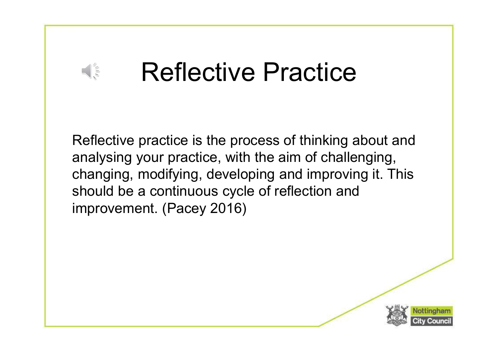## Reflective Practice

 $\frac{1}{2}$ 

Reflective practice is the process of thinking about and analysing your practice, with the aim of challenging, changing, modifying, developing and improving it. This should be a continuous cycle of reflection and improvement. (Pacey 2016)

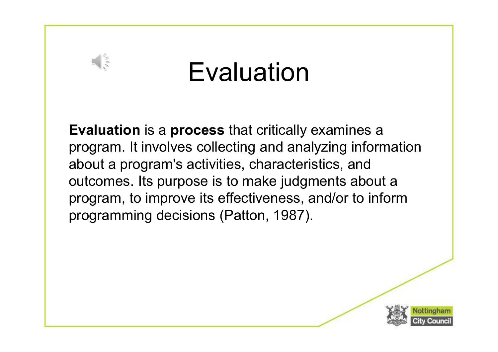#### Evaluation

Evaluation is a process that critically examines a **Evaluation<br>Evaluation is a process** that critically examines a<br>program. It involves collecting and analyzing information<br>about a program's activities, characteristics, and<br>outcomes. Its purpose is to make judgments about about a program's activities, characteristics, and outcomes. Its purpose is to make judgments about a program, to improve its effectiveness, and/or to inform programming decisions (Patton, 1987).

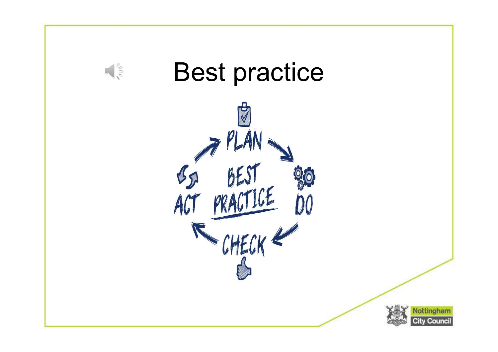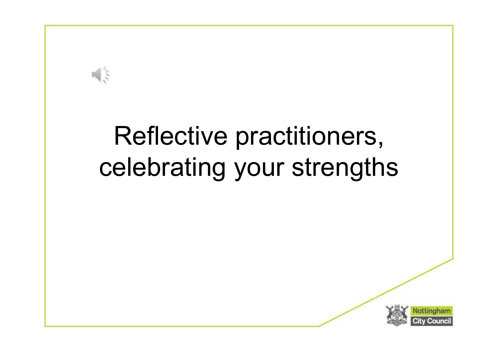

## Reflective practitioners, celebrating your strengths

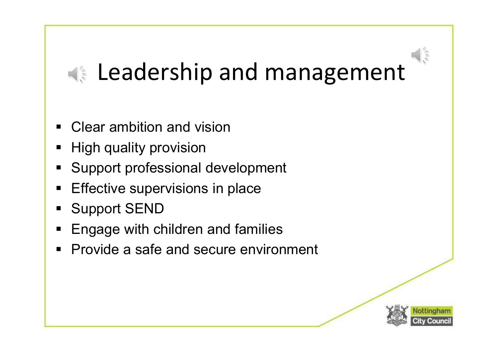## **Leadership and management**

- Clear ambition and vision
- High quality provision
- **Support professional development**
- **Effective supervisions in place**
- Support SEND
- **Engage with children and families**
- **Provide a safe and secure environment**

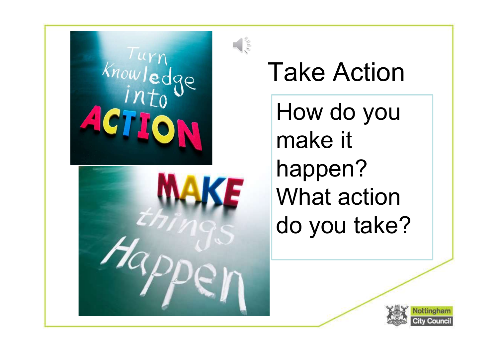

Take Action

How do you make it happen? What action do you take?

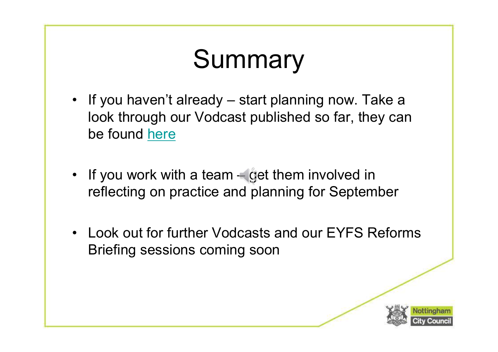# Summary

- If you haven't already start planning now. Take a<br>look through our Vodcast published so far, they can<br>be found <u>here</u> **Summary<br>
If you haven't already – start planning now. Take a<br>
look through our Vodcast published so far, they can<br>
be found <u>here</u>** be found here • If you haven't already – start planning now. Take a<br>look through our Vodcast published so far, they can<br>be found <u>here</u><br>• If you work with a team – get them involved in<br>reflecting on practice and planning for September • If you haven't already – start planning now. Take a<br>look through our Vodcast published so far, they can<br>be found <u>here</u><br>• If you work with a team – get them involved in<br>reflecting on practice and planning for September<br>•
- reflecting on practice and planning for September
- Briefing sessions coming soon

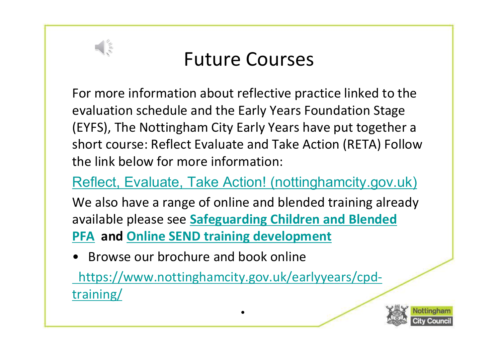

#### Future Courses

For more information about reflective practice linked to the evaluation schedule and the Early Years Foundation Stage (EYFS), The Nottingham City Early Years have put together a short course: Reflect Evaluate and Take Action (RETA) Follow the link below for more information: evaluation scheudie and the Early Teals Poundation Stag<br>(EYFS), The Nottingham City Early Years have put togeth<br>short course: Reflect Evaluate and Take Action (RETA) For<br>the link below for more information:<br>Reflect, Evalua

Reflect, Evaluate, Take Action! (nottinghamcity.gov.uk)

We also have a range of online and blended training already available please see Safeguarding Children and Blended PFA and Online SEND training development

https://www.nottinghamcity.gov.uk/earlyyears/cpdtraining/

•